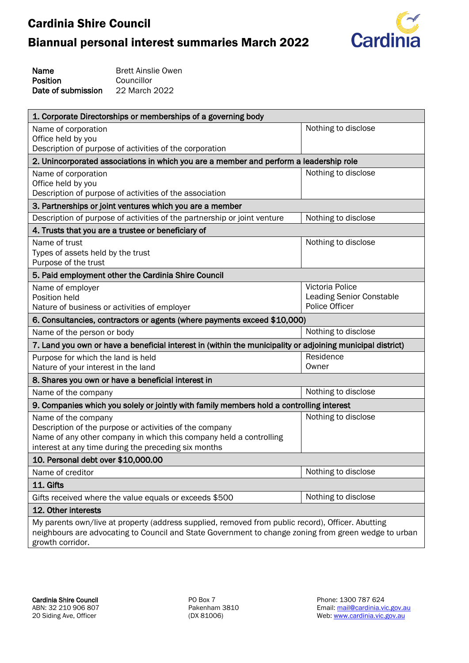# Biannual personal interest summaries March 2022



Name Position Date of submission Brett Ainslie Owen Councillor 22 March 2022

| 1. Corporate Directorships or memberships of a governing body                                                                                                                                                                 |                                 |
|-------------------------------------------------------------------------------------------------------------------------------------------------------------------------------------------------------------------------------|---------------------------------|
| Name of corporation                                                                                                                                                                                                           | Nothing to disclose             |
| Office held by you                                                                                                                                                                                                            |                                 |
| Description of purpose of activities of the corporation                                                                                                                                                                       |                                 |
| 2. Unincorporated associations in which you are a member and perform a leadership role                                                                                                                                        |                                 |
| Name of corporation                                                                                                                                                                                                           | Nothing to disclose             |
| Office held by you                                                                                                                                                                                                            |                                 |
| Description of purpose of activities of the association                                                                                                                                                                       |                                 |
| 3. Partnerships or joint ventures which you are a member                                                                                                                                                                      |                                 |
| Description of purpose of activities of the partnership or joint venture                                                                                                                                                      | Nothing to disclose             |
| 4. Trusts that you are a trustee or beneficiary of                                                                                                                                                                            |                                 |
| Name of trust                                                                                                                                                                                                                 | Nothing to disclose             |
| Types of assets held by the trust<br>Purpose of the trust                                                                                                                                                                     |                                 |
| 5. Paid employment other the Cardinia Shire Council                                                                                                                                                                           |                                 |
|                                                                                                                                                                                                                               | Victoria Police                 |
| Name of employer<br>Position held                                                                                                                                                                                             | <b>Leading Senior Constable</b> |
| Nature of business or activities of employer                                                                                                                                                                                  | Police Officer                  |
| 6. Consultancies, contractors or agents (where payments exceed \$10,000)                                                                                                                                                      |                                 |
| Name of the person or body                                                                                                                                                                                                    | Nothing to disclose             |
| 7. Land you own or have a beneficial interest in (within the municipality or adjoining municipal district)                                                                                                                    |                                 |
| Purpose for which the land is held                                                                                                                                                                                            | Residence                       |
| Nature of your interest in the land                                                                                                                                                                                           | Owner                           |
| 8. Shares you own or have a beneficial interest in                                                                                                                                                                            |                                 |
| Name of the company                                                                                                                                                                                                           | Nothing to disclose             |
| 9. Companies which you solely or jointly with family members hold a controlling interest                                                                                                                                      |                                 |
| Name of the company                                                                                                                                                                                                           | Nothing to disclose             |
| Description of the purpose or activities of the company                                                                                                                                                                       |                                 |
| Name of any other company in which this company held a controlling                                                                                                                                                            |                                 |
| interest at any time during the preceding six months                                                                                                                                                                          |                                 |
| 10. Personal debt over \$10,000.00                                                                                                                                                                                            |                                 |
| Name of creditor                                                                                                                                                                                                              | Nothing to disclose             |
| 11. Gifts                                                                                                                                                                                                                     |                                 |
| Gifts received where the value equals or exceeds \$500                                                                                                                                                                        | Nothing to disclose             |
| 12. Other interests                                                                                                                                                                                                           |                                 |
| My parents own/live at property (address supplied, removed from public record), Officer. Abutting<br>neighbours are advocating to Council and State Government to change zoning from green wedge to urban<br>growth corridor. |                                 |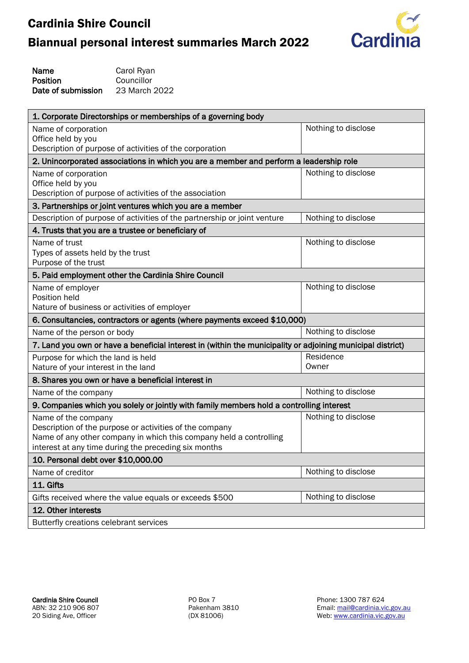

| Name               | Carol Ryan    |
|--------------------|---------------|
| Position           | Councillor    |
| Date of submission | 23 March 2022 |

| 1. Corporate Directorships or memberships of a governing body                                              |                     |
|------------------------------------------------------------------------------------------------------------|---------------------|
| Name of corporation                                                                                        | Nothing to disclose |
| Office held by you<br>Description of purpose of activities of the corporation                              |                     |
| 2. Unincorporated associations in which you are a member and perform a leadership role                     |                     |
|                                                                                                            | Nothing to disclose |
| Name of corporation<br>Office held by you                                                                  |                     |
| Description of purpose of activities of the association                                                    |                     |
| 3. Partnerships or joint ventures which you are a member                                                   |                     |
| Description of purpose of activities of the partnership or joint venture                                   | Nothing to disclose |
| 4. Trusts that you are a trustee or beneficiary of                                                         |                     |
| Name of trust                                                                                              | Nothing to disclose |
| Types of assets held by the trust                                                                          |                     |
| Purpose of the trust                                                                                       |                     |
| 5. Paid employment other the Cardinia Shire Council                                                        |                     |
| Name of employer<br>Position held                                                                          | Nothing to disclose |
| Nature of business or activities of employer                                                               |                     |
| 6. Consultancies, contractors or agents (where payments exceed \$10,000)                                   |                     |
| Name of the person or body                                                                                 | Nothing to disclose |
| 7. Land you own or have a beneficial interest in (within the municipality or adjoining municipal district) |                     |
| Purpose for which the land is held                                                                         | Residence           |
| Nature of your interest in the land                                                                        | Owner               |
| 8. Shares you own or have a beneficial interest in                                                         |                     |
| Name of the company                                                                                        | Nothing to disclose |
| 9. Companies which you solely or jointly with family members hold a controlling interest                   |                     |
| Name of the company                                                                                        | Nothing to disclose |
| Description of the purpose or activities of the company                                                    |                     |
| Name of any other company in which this company held a controlling                                         |                     |
| interest at any time during the preceding six months<br>10. Personal debt over \$10,000.00                 |                     |
| Name of creditor                                                                                           | Nothing to disclose |
|                                                                                                            |                     |
| 11. Gifts                                                                                                  | Nothing to disclose |
| Gifts received where the value equals or exceeds \$500                                                     |                     |
| 12. Other interests                                                                                        |                     |
| Butterfly creations celebrant services                                                                     |                     |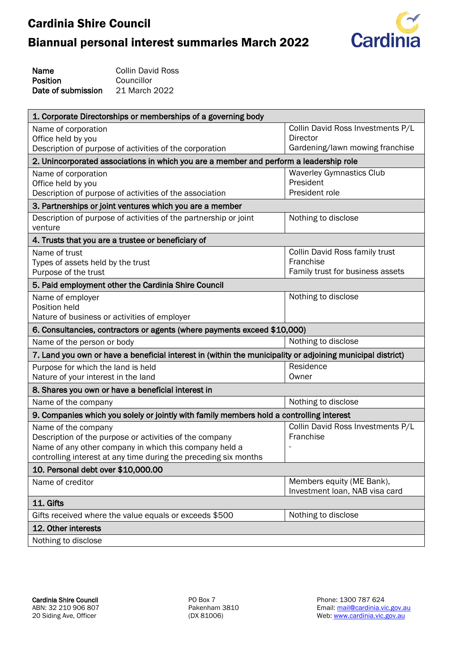

| Name               | Collin David Ross |
|--------------------|-------------------|
| Position           | Councillor        |
| Date of submission | 21 March 2022     |

| 1. Corporate Directorships or memberships of a governing body                                              |                                   |
|------------------------------------------------------------------------------------------------------------|-----------------------------------|
| Name of corporation                                                                                        | Collin David Ross Investments P/L |
| Office held by you                                                                                         | <b>Director</b>                   |
| Description of purpose of activities of the corporation                                                    | Gardening/lawn mowing franchise   |
| 2. Unincorporated associations in which you are a member and perform a leadership role                     |                                   |
| Name of corporation                                                                                        | <b>Waverley Gymnastics Club</b>   |
| Office held by you                                                                                         | President                         |
| Description of purpose of activities of the association                                                    | President role                    |
| 3. Partnerships or joint ventures which you are a member                                                   |                                   |
| Description of purpose of activities of the partnership or joint<br>venture                                | Nothing to disclose               |
| 4. Trusts that you are a trustee or beneficiary of                                                         |                                   |
| Name of trust                                                                                              | Collin David Ross family trust    |
| Types of assets held by the trust                                                                          | Franchise                         |
| Purpose of the trust                                                                                       | Family trust for business assets  |
| 5. Paid employment other the Cardinia Shire Council                                                        |                                   |
| Name of employer                                                                                           | Nothing to disclose               |
| Position held                                                                                              |                                   |
| Nature of business or activities of employer                                                               |                                   |
| 6. Consultancies, contractors or agents (where payments exceed \$10,000)                                   |                                   |
| Name of the person or body                                                                                 | Nothing to disclose               |
| 7. Land you own or have a beneficial interest in (within the municipality or adjoining municipal district) |                                   |
| Purpose for which the land is held                                                                         | Residence                         |
| Nature of your interest in the land                                                                        | Owner                             |
| 8. Shares you own or have a beneficial interest in                                                         |                                   |
| Name of the company                                                                                        | Nothing to disclose               |
| 9. Companies which you solely or jointly with family members hold a controlling interest                   |                                   |
| Name of the company                                                                                        | Collin David Ross Investments P/L |
| Description of the purpose or activities of the company                                                    | Franchise                         |
| Name of any other company in which this company held a                                                     |                                   |
| controlling interest at any time during the preceding six months                                           |                                   |
| 10. Personal debt over \$10,000.00                                                                         |                                   |
| Name of creditor                                                                                           | Members equity (ME Bank),         |
|                                                                                                            | Investment Ioan, NAB visa card    |
| 11. Gifts                                                                                                  |                                   |
| Gifts received where the value equals or exceeds \$500                                                     | Nothing to disclose               |
| 12. Other interests                                                                                        |                                   |
| Nothing to disclose                                                                                        |                                   |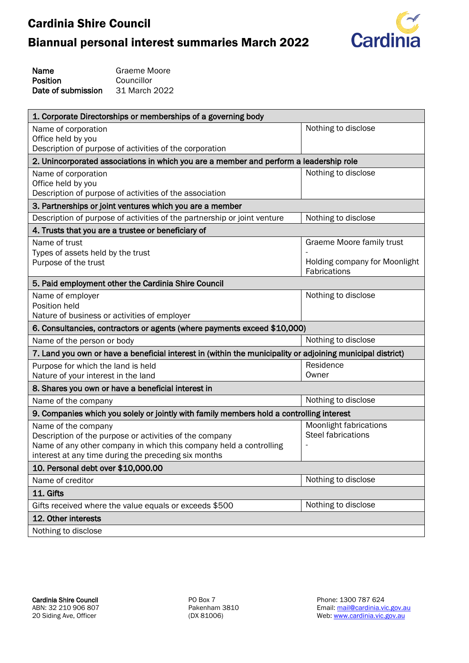

| Name               | Graeme Moore  |
|--------------------|---------------|
| Position           | Councillor    |
| Date of submission | 31 March 2022 |

| 1. Corporate Directorships or memberships of a governing body                                                                 |                               |
|-------------------------------------------------------------------------------------------------------------------------------|-------------------------------|
| Name of corporation                                                                                                           | Nothing to disclose           |
| Office held by you<br>Description of purpose of activities of the corporation                                                 |                               |
| 2. Unincorporated associations in which you are a member and perform a leadership role                                        |                               |
| Name of corporation                                                                                                           | Nothing to disclose           |
| Office held by you                                                                                                            |                               |
| Description of purpose of activities of the association                                                                       |                               |
| 3. Partnerships or joint ventures which you are a member                                                                      |                               |
| Description of purpose of activities of the partnership or joint venture                                                      | Nothing to disclose           |
| 4. Trusts that you are a trustee or beneficiary of                                                                            |                               |
| Name of trust                                                                                                                 | Graeme Moore family trust     |
| Types of assets held by the trust                                                                                             | Holding company for Moonlight |
| Purpose of the trust                                                                                                          | Fabrications                  |
| 5. Paid employment other the Cardinia Shire Council                                                                           |                               |
| Name of employer                                                                                                              | Nothing to disclose           |
| Position held                                                                                                                 |                               |
| Nature of business or activities of employer                                                                                  |                               |
| 6. Consultancies, contractors or agents (where payments exceed \$10,000)                                                      |                               |
| Name of the person or body                                                                                                    | Nothing to disclose           |
| 7. Land you own or have a beneficial interest in (within the municipality or adjoining municipal district)                    |                               |
| Purpose for which the land is held                                                                                            | Residence                     |
| Nature of your interest in the land                                                                                           | Owner                         |
| 8. Shares you own or have a beneficial interest in                                                                            |                               |
| Name of the company                                                                                                           | Nothing to disclose           |
| 9. Companies which you solely or jointly with family members hold a controlling interest                                      |                               |
| Name of the company                                                                                                           | <b>Moonlight fabrications</b> |
| Description of the purpose or activities of the company<br>Name of any other company in which this company held a controlling | <b>Steel fabrications</b>     |
| interest at any time during the preceding six months                                                                          |                               |
| 10. Personal debt over \$10,000.00                                                                                            |                               |
| Name of creditor                                                                                                              | Nothing to disclose           |
| 11. Gifts                                                                                                                     |                               |
| Gifts received where the value equals or exceeds \$500                                                                        | Nothing to disclose           |
| 12. Other interests                                                                                                           |                               |
| Nothing to disclose                                                                                                           |                               |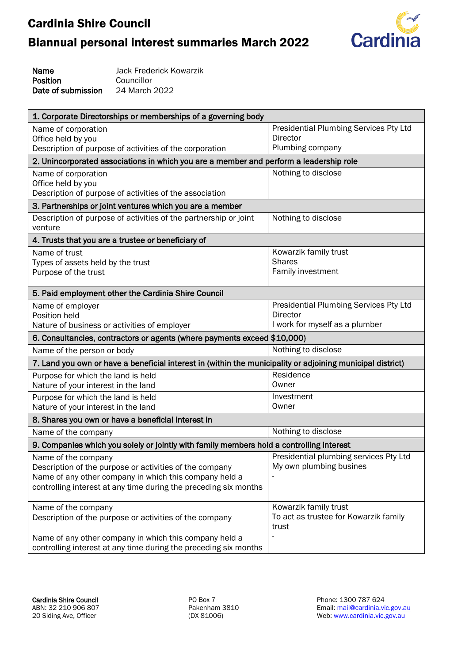# Biannual personal interest summaries March 2022



Name Position Date of submission Jack Frederick Kowarzik Councillor 24 March 2022

| 1. Corporate Directorships or memberships of a governing body                                                              |                                        |
|----------------------------------------------------------------------------------------------------------------------------|----------------------------------------|
| Name of corporation                                                                                                        | Presidential Plumbing Services Pty Ltd |
| Office held by you                                                                                                         | <b>Director</b>                        |
| Description of purpose of activities of the corporation                                                                    | Plumbing company                       |
| 2. Unincorporated associations in which you are a member and perform a leadership role                                     |                                        |
| Name of corporation                                                                                                        | Nothing to disclose                    |
| Office held by you                                                                                                         |                                        |
| Description of purpose of activities of the association                                                                    |                                        |
| 3. Partnerships or joint ventures which you are a member                                                                   |                                        |
| Description of purpose of activities of the partnership or joint<br>venture                                                | Nothing to disclose                    |
| 4. Trusts that you are a trustee or beneficiary of                                                                         |                                        |
| Name of trust                                                                                                              | Kowarzik family trust                  |
| Types of assets held by the trust                                                                                          | <b>Shares</b>                          |
| Purpose of the trust                                                                                                       | Family investment                      |
| 5. Paid employment other the Cardinia Shire Council                                                                        |                                        |
| Name of employer                                                                                                           | Presidential Plumbing Services Pty Ltd |
| Position held                                                                                                              | Director                               |
| Nature of business or activities of employer                                                                               | I work for myself as a plumber         |
| 6. Consultancies, contractors or agents (where payments exceed \$10,000)                                                   |                                        |
| Name of the person or body                                                                                                 | Nothing to disclose                    |
| 7. Land you own or have a beneficial interest in (within the municipality or adjoining municipal district)                 |                                        |
| Purpose for which the land is held                                                                                         | Residence                              |
| Nature of your interest in the land                                                                                        | Owner                                  |
| Purpose for which the land is held                                                                                         | Investment                             |
| Nature of your interest in the land                                                                                        | Owner                                  |
| 8. Shares you own or have a beneficial interest in                                                                         |                                        |
| Name of the company                                                                                                        | Nothing to disclose                    |
| 9. Companies which you solely or jointly with family members hold a controlling interest                                   |                                        |
|                                                                                                                            |                                        |
| Name of the company                                                                                                        | Presidential plumbing services Pty Ltd |
| Description of the purpose or activities of the company                                                                    | My own plumbing busines                |
| Name of any other company in which this company held a                                                                     |                                        |
| controlling interest at any time during the preceding six months                                                           |                                        |
|                                                                                                                            | Kowarzik family trust                  |
| Name of the company                                                                                                        | To act as trustee for Kowarzik family  |
| Description of the purpose or activities of the company                                                                    | trust                                  |
| Name of any other company in which this company held a<br>controlling interest at any time during the preceding six months |                                        |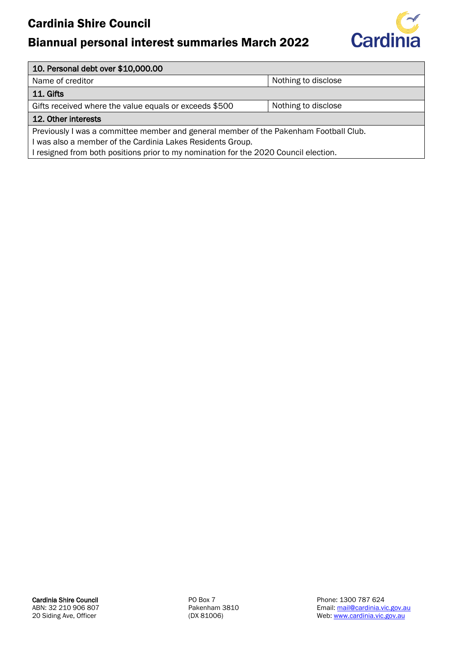## Biannual personal interest summaries March 2022



#### 10. Personal debt over \$10,000.00

Name of creditor Name of creditor Nothing to disclose

#### 11. Gifts

Gifts received where the value equals or exceeds \$500 Nothing to disclose

#### 12. Other interests

Previously I was a committee member and general member of the Pakenham Football Club. I was also a member of the Cardinia Lakes Residents Group.

I resigned from both positions prior to my nomination for the 2020 Council election.

Cardinia Shire Council ABN: 32 210 906 807 20 Siding Ave, Officer

PO Box 7 Pakenham 3810 (DX 81006)

Phone: 1300 787 624 Email: [mail@cardinia.vic.gov.au](mailto:mail@cardinia.vic.gov.au) Web: [www.cardinia.vic.gov.au](http://www.cardinia.vic.gov.au/)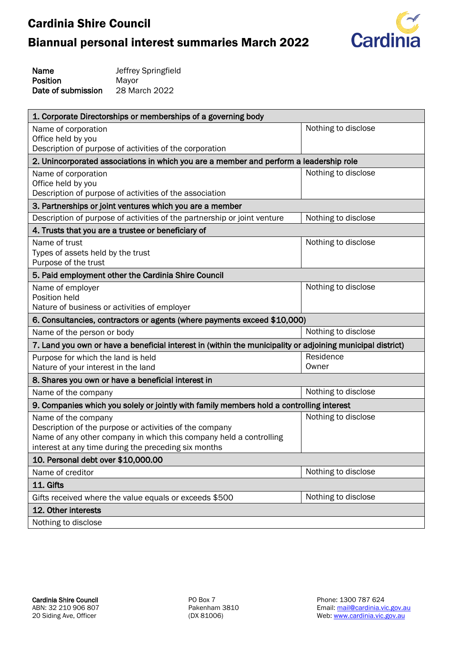# Biannual personal interest summaries March 2022



Name Position Date of submission Jeffrey Springfield Mayor 28 March 2022

| 1. Corporate Directorships or memberships of a governing body                                              |                     |
|------------------------------------------------------------------------------------------------------------|---------------------|
| Name of corporation                                                                                        | Nothing to disclose |
| Office held by you<br>Description of purpose of activities of the corporation                              |                     |
| 2. Unincorporated associations in which you are a member and perform a leadership role                     |                     |
| Name of corporation                                                                                        | Nothing to disclose |
| Office held by you<br>Description of purpose of activities of the association                              |                     |
| 3. Partnerships or joint ventures which you are a member                                                   |                     |
| Description of purpose of activities of the partnership or joint venture                                   | Nothing to disclose |
| 4. Trusts that you are a trustee or beneficiary of                                                         |                     |
| Name of trust                                                                                              | Nothing to disclose |
| Types of assets held by the trust<br>Purpose of the trust                                                  |                     |
| 5. Paid employment other the Cardinia Shire Council                                                        |                     |
| Name of employer                                                                                           | Nothing to disclose |
| Position held                                                                                              |                     |
| Nature of business or activities of employer                                                               |                     |
| 6. Consultancies, contractors or agents (where payments exceed \$10,000)                                   |                     |
| Name of the person or body                                                                                 | Nothing to disclose |
| 7. Land you own or have a beneficial interest in (within the municipality or adjoining municipal district) |                     |
| Purpose for which the land is held<br>Nature of your interest in the land                                  | Residence<br>Owner  |
| 8. Shares you own or have a beneficial interest in                                                         |                     |
| Name of the company                                                                                        | Nothing to disclose |
| 9. Companies which you solely or jointly with family members hold a controlling interest                   |                     |
| Name of the company                                                                                        | Nothing to disclose |
| Description of the purpose or activities of the company                                                    |                     |
| Name of any other company in which this company held a controlling                                         |                     |
| interest at any time during the preceding six months                                                       |                     |
| 10. Personal debt over \$10,000.00                                                                         |                     |
| Name of creditor                                                                                           | Nothing to disclose |
| 11. Gifts                                                                                                  |                     |
| Gifts received where the value equals or exceeds \$500                                                     | Nothing to disclose |
| 12. Other interests                                                                                        |                     |
| Nothing to disclose                                                                                        |                     |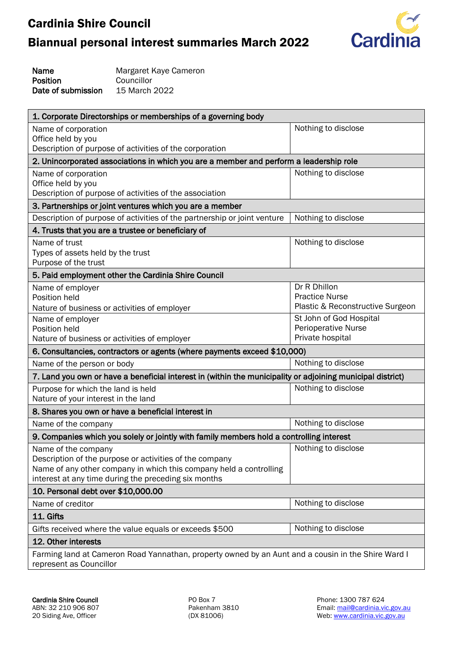# Biannual personal interest summaries March 2022



Name Position Date of submission Margaret Kaye Cameron **Councillor** 15 March 2022

| 1. Corporate Directorships or memberships of a governing body                                              |                                                       |  |
|------------------------------------------------------------------------------------------------------------|-------------------------------------------------------|--|
| Name of corporation                                                                                        | Nothing to disclose                                   |  |
| Office held by you                                                                                         |                                                       |  |
| Description of purpose of activities of the corporation                                                    |                                                       |  |
| 2. Unincorporated associations in which you are a member and perform a leadership role                     |                                                       |  |
| Nothing to disclose<br>Name of corporation                                                                 |                                                       |  |
| Office held by you                                                                                         |                                                       |  |
| Description of purpose of activities of the association                                                    |                                                       |  |
| 3. Partnerships or joint ventures which you are a member                                                   |                                                       |  |
| Description of purpose of activities of the partnership or joint venture                                   | Nothing to disclose                                   |  |
| 4. Trusts that you are a trustee or beneficiary of                                                         |                                                       |  |
| Name of trust                                                                                              | Nothing to disclose                                   |  |
| Types of assets held by the trust                                                                          |                                                       |  |
| Purpose of the trust                                                                                       |                                                       |  |
| 5. Paid employment other the Cardinia Shire Council                                                        |                                                       |  |
| Name of employer                                                                                           | Dr R Dhillon                                          |  |
| Position held                                                                                              | <b>Practice Nurse</b>                                 |  |
| Nature of business or activities of employer                                                               | Plastic & Reconstructive Surgeon                      |  |
| Name of employer<br>Position held                                                                          | St John of God Hospital<br><b>Perioperative Nurse</b> |  |
| Nature of business or activities of employer                                                               | Private hospital                                      |  |
| 6. Consultancies, contractors or agents (where payments exceed \$10,000)                                   |                                                       |  |
| Name of the person or body                                                                                 | Nothing to disclose                                   |  |
| 7. Land you own or have a beneficial interest in (within the municipality or adjoining municipal district) |                                                       |  |
| Purpose for which the land is held                                                                         | Nothing to disclose                                   |  |
| Nature of your interest in the land                                                                        |                                                       |  |
| 8. Shares you own or have a beneficial interest in                                                         |                                                       |  |
| Name of the company                                                                                        | Nothing to disclose                                   |  |
| 9. Companies which you solely or jointly with family members hold a controlling interest                   |                                                       |  |
| Name of the company                                                                                        | Nothing to disclose                                   |  |
| Description of the purpose or activities of the company                                                    |                                                       |  |
| Name of any other company in which this company held a controlling                                         |                                                       |  |
| interest at any time during the preceding six months                                                       |                                                       |  |
| 10. Personal debt over \$10,000.00                                                                         |                                                       |  |
| Name of creditor                                                                                           | Nothing to disclose                                   |  |
| 11. Gifts                                                                                                  |                                                       |  |
| Gifts received where the value equals or exceeds \$500                                                     | Nothing to disclose                                   |  |
| 12. Other interests                                                                                        |                                                       |  |
| Farming land at Cameron Road Yannathan, property owned by an Aunt and a cousin in the Shire Ward I         |                                                       |  |
| represent as Councillor                                                                                    |                                                       |  |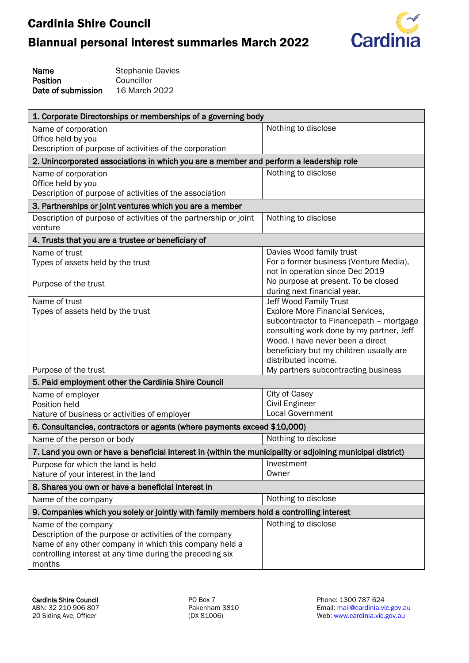# Biannual personal interest summaries March 2022



| Name               | <b>Stephanie Davies</b> |
|--------------------|-------------------------|
| Position           | Councillor              |
| Date of submission | 16 March 2022           |

| Nothing to disclose<br>Name of corporation<br>Office held by you<br>Description of purpose of activities of the corporation<br>2. Unincorporated associations in which you are a member and perform a leadership role<br>Nothing to disclose<br>Name of corporation<br>Office held by you<br>Description of purpose of activities of the association<br>3. Partnerships or joint ventures which you are a member<br>Description of purpose of activities of the partnership or joint<br>Nothing to disclose<br>venture<br>4. Trusts that you are a trustee or beneficiary of |
|------------------------------------------------------------------------------------------------------------------------------------------------------------------------------------------------------------------------------------------------------------------------------------------------------------------------------------------------------------------------------------------------------------------------------------------------------------------------------------------------------------------------------------------------------------------------------|
|                                                                                                                                                                                                                                                                                                                                                                                                                                                                                                                                                                              |
|                                                                                                                                                                                                                                                                                                                                                                                                                                                                                                                                                                              |
|                                                                                                                                                                                                                                                                                                                                                                                                                                                                                                                                                                              |
|                                                                                                                                                                                                                                                                                                                                                                                                                                                                                                                                                                              |
|                                                                                                                                                                                                                                                                                                                                                                                                                                                                                                                                                                              |
|                                                                                                                                                                                                                                                                                                                                                                                                                                                                                                                                                                              |
|                                                                                                                                                                                                                                                                                                                                                                                                                                                                                                                                                                              |
|                                                                                                                                                                                                                                                                                                                                                                                                                                                                                                                                                                              |
|                                                                                                                                                                                                                                                                                                                                                                                                                                                                                                                                                                              |
|                                                                                                                                                                                                                                                                                                                                                                                                                                                                                                                                                                              |
| Davies Wood family trust<br>Name of trust                                                                                                                                                                                                                                                                                                                                                                                                                                                                                                                                    |
| For a former business (Venture Media),<br>Types of assets held by the trust                                                                                                                                                                                                                                                                                                                                                                                                                                                                                                  |
| not in operation since Dec 2019                                                                                                                                                                                                                                                                                                                                                                                                                                                                                                                                              |
| No purpose at present. To be closed<br>Purpose of the trust                                                                                                                                                                                                                                                                                                                                                                                                                                                                                                                  |
| during next financial year.<br>Name of trust<br>Jeff Wood Family Trust                                                                                                                                                                                                                                                                                                                                                                                                                                                                                                       |
| <b>Explore More Financial Services,</b><br>Types of assets held by the trust                                                                                                                                                                                                                                                                                                                                                                                                                                                                                                 |
| subcontractor to Financepath - mortgage                                                                                                                                                                                                                                                                                                                                                                                                                                                                                                                                      |
| consulting work done by my partner, Jeff                                                                                                                                                                                                                                                                                                                                                                                                                                                                                                                                     |
| Wood. I have never been a direct                                                                                                                                                                                                                                                                                                                                                                                                                                                                                                                                             |
| beneficiary but my children usually are                                                                                                                                                                                                                                                                                                                                                                                                                                                                                                                                      |
| distributed income.                                                                                                                                                                                                                                                                                                                                                                                                                                                                                                                                                          |
| Purpose of the trust<br>My partners subcontracting business                                                                                                                                                                                                                                                                                                                                                                                                                                                                                                                  |
| 5. Paid employment other the Cardinia Shire Council                                                                                                                                                                                                                                                                                                                                                                                                                                                                                                                          |
| City of Casey<br>Name of employer                                                                                                                                                                                                                                                                                                                                                                                                                                                                                                                                            |
| Civil Engineer<br>Position held                                                                                                                                                                                                                                                                                                                                                                                                                                                                                                                                              |
| <b>Local Government</b><br>Nature of business or activities of employer                                                                                                                                                                                                                                                                                                                                                                                                                                                                                                      |
| 6. Consultancies, contractors or agents (where payments exceed \$10,000)                                                                                                                                                                                                                                                                                                                                                                                                                                                                                                     |
| Nothing to disclose<br>Name of the person or body                                                                                                                                                                                                                                                                                                                                                                                                                                                                                                                            |
| 7. Land you own or have a beneficial interest in (within the municipality or adjoining municipal district)                                                                                                                                                                                                                                                                                                                                                                                                                                                                   |
| Investment<br>Purpose for which the land is held                                                                                                                                                                                                                                                                                                                                                                                                                                                                                                                             |
| Nature of your interest in the land<br>Owner                                                                                                                                                                                                                                                                                                                                                                                                                                                                                                                                 |
| 8. Shares you own or have a beneficial interest in                                                                                                                                                                                                                                                                                                                                                                                                                                                                                                                           |
| Nothing to disclose<br>Name of the company                                                                                                                                                                                                                                                                                                                                                                                                                                                                                                                                   |
| 9. Companies which you solely or jointly with family members hold a controlling interest                                                                                                                                                                                                                                                                                                                                                                                                                                                                                     |
| Nothing to disclose<br>Name of the company                                                                                                                                                                                                                                                                                                                                                                                                                                                                                                                                   |
| Description of the purpose or activities of the company                                                                                                                                                                                                                                                                                                                                                                                                                                                                                                                      |
| Name of any other company in which this company held a                                                                                                                                                                                                                                                                                                                                                                                                                                                                                                                       |
| controlling interest at any time during the preceding six<br>months                                                                                                                                                                                                                                                                                                                                                                                                                                                                                                          |

PO Box 7 Pakenham 3810 (DX 81006)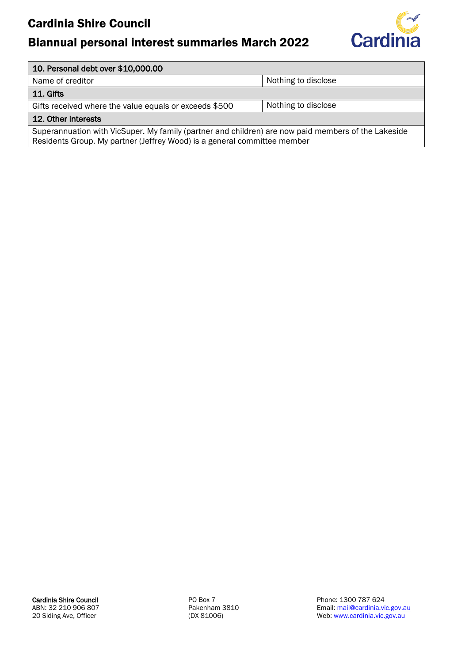## Biannual personal interest summaries March 2022



#### 10. Personal debt over \$10,000.00

Name of creditor Name of creditor Nothing to disclose

11. Gifts

Gifts received where the value equals or exceeds  $$500$  | Nothing to disclose

#### 12. Other interests

Superannuation with VicSuper. My family (partner and children) are now paid members of the Lakeside Residents Group. My partner (Jeffrey Wood) is a general committee member

Cardinia Shire Council ABN: 32 210 906 807 20 Siding Ave, Officer

PO Box 7 Pakenham 3810 (DX 81006)

Phone: 1300 787 624 Email: [mail@cardinia.vic.gov.au](mailto:mail@cardinia.vic.gov.au) Web: [www.cardinia.vic.gov.au](http://www.cardinia.vic.gov.au/)